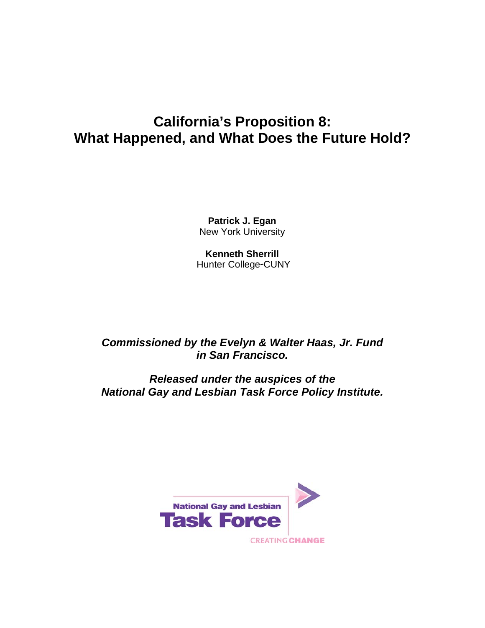# **California's Proposition 8: What Happened, and What Does the Future Hold?**

**Patrick J. Egan**  New York University

**Kenneth Sherrill** Hunter College-CUNY

*Commissioned by the Evelyn & Walter Haas, Jr. Fund in San Francisco.* 

*Released under the auspices of the National Gay and Lesbian Task Force Policy Institute.* 

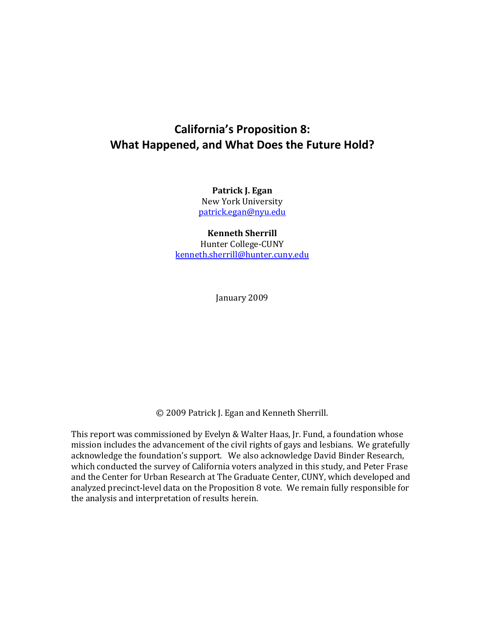# **California's Proposition 8: What Happened, and What Does the Future Hold?**

**Patrick J. Egan** New York University patrick.egan@nyu.edu

**Kenneth Sherrill**

Hunter College-CUNY kenneth.sherrill@hunter.cuny.edu

January 2009

© 2009 Patrick J. Egan and Kenneth Sherrill.

This report was commissioned by Evelyn & Walter Haas, Jr. Fund, a foundation whose mission includes the advancement of the civil rights of gays and lesbians. We gratefully acknowledge the foundation's support. We also acknowledge David Binder Research, which conducted the survey of California voters analyzed in this study, and Peter Frase and the Center for Urban Research at The Graduate Center, CUNY, which developed and analyzed precinct‐level data on the Proposition 8 vote. We remain fully responsible for the analysis and interpretation of results herein.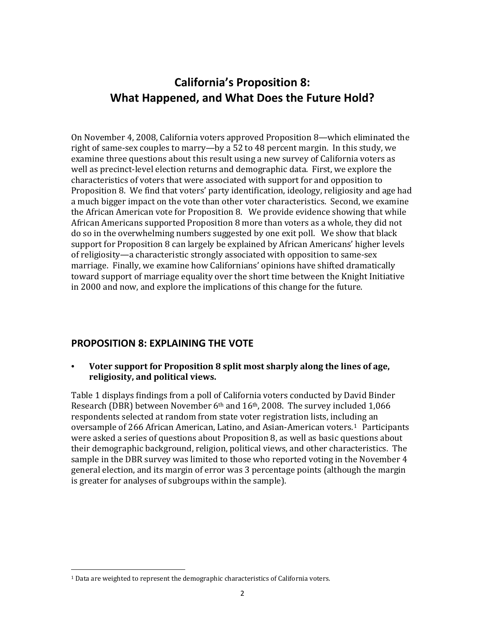# **California's Proposition 8: What Happened, and What Does the Future Hold?**

On November 4, 2008, California voters approved Proposition 8—which eliminated the right of same‐sex couples to marry—by a 52 to 48 percent margin. In this study, we examine three questions about this result using a new survey of California voters as well as precinct-level election returns and demographic data. First, we explore the characteristics of voters that were associated with support for and opposition to Proposition 8. We find that voters' party identification, ideology, religiosity and age had a much bigger impact on the vote than other voter characteristics. Second, we examine the African American vote for Proposition 8. We provide evidence showing that while African Americans supported Proposition 8 more than voters as a whole, they did not do so in the overwhelming numbers suggested by one exit poll. We show that black support for Proposition 8 can largely be explained by African Americans' higher levels of religiosity—a characteristic strongly associated with opposition to same‐sex marriage. Finally, we examine how Californians' opinions have shifted dramatically toward support of marriage equality over the short time between the Knight Initiative in 2000 and now, and explore the implications of this change for the future.

#### **PROPOSITION 8: EXPLAINING THE VOTE**

#### **• Voter support for Proposition 8 split most sharply along the lines of age, religiosity, and political views.**

Table 1 displays findings from a poll of California voters conducted by David Binder Research (DBR) between November 6<sup>th</sup> and 16<sup>th</sup>, 2008. The survey included 1,066 respondents selected at random from state voter registration lists, including an oversample of 266 African American, Latino, and Asian-American voters.<sup>1</sup> Participants were asked a series of questions about Proposition 8, as well as basic questions about their demographic background, religion, political views, and other characteristics. The sample in the DBR survey was limited to those who reported voting in the November 4 general election, and its margin of error was 3 percentage points (although the margin is greater for analyses of subgroups within the sample).

<sup>1</sup> Data are weighted to represent the demographic characteristics of California voters.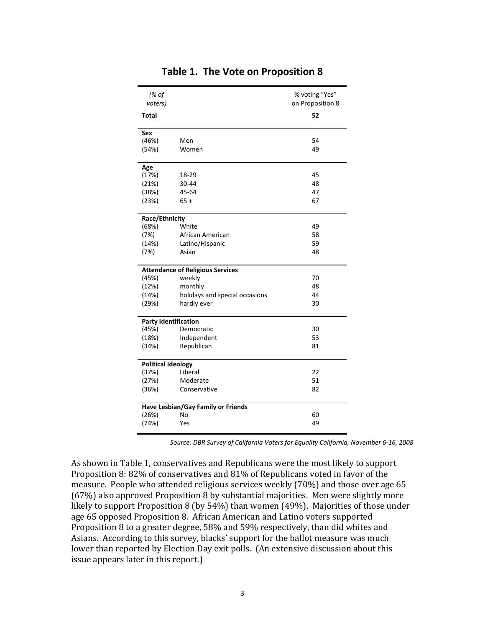| (% of<br>voters)                   |                                         | % voting "Yes"<br>on Proposition 8 |  |  |  |  |
|------------------------------------|-----------------------------------------|------------------------------------|--|--|--|--|
| <b>Total</b>                       |                                         | 52                                 |  |  |  |  |
| Sex                                |                                         |                                    |  |  |  |  |
| (46%)                              | Men                                     | 54                                 |  |  |  |  |
| (54%)                              | Women                                   | 49                                 |  |  |  |  |
| Age                                |                                         |                                    |  |  |  |  |
| (17%)                              | 18-29                                   | 45                                 |  |  |  |  |
| (21%)                              | 30-44                                   | 48                                 |  |  |  |  |
| (38%)                              | 45-64                                   | 47                                 |  |  |  |  |
| (23%)                              | $65+$                                   | 67                                 |  |  |  |  |
| Race/Ethnicity                     |                                         |                                    |  |  |  |  |
| (68%)                              | White                                   | 49                                 |  |  |  |  |
| (7%)                               | African American                        | 58                                 |  |  |  |  |
| (14%)                              | Latino/Hispanic                         | 59                                 |  |  |  |  |
| (7%)                               | Asian                                   | 48                                 |  |  |  |  |
|                                    | <b>Attendance of Religious Services</b> |                                    |  |  |  |  |
| (45%)                              | weekly                                  | 70                                 |  |  |  |  |
| (12%)                              | monthly                                 | 48                                 |  |  |  |  |
| (14%)                              | holidays and special occasions          | 44                                 |  |  |  |  |
| (29%)                              | hardly ever                             | 30                                 |  |  |  |  |
| <b>Party Identification</b>        |                                         |                                    |  |  |  |  |
| (45%)                              | Democratic                              | 30                                 |  |  |  |  |
| (18%)                              | Independent                             | 53                                 |  |  |  |  |
| (34%)                              | Republican                              | 81                                 |  |  |  |  |
|                                    | <b>Political Ideology</b>               |                                    |  |  |  |  |
| (37%)                              | Liberal                                 | 22                                 |  |  |  |  |
| (27%)                              | Moderate                                | 51                                 |  |  |  |  |
| (36%)                              | Conservative                            | 82                                 |  |  |  |  |
| Have Lesbian/Gay Family or Friends |                                         |                                    |  |  |  |  |
| (26%)                              | No                                      | 60                                 |  |  |  |  |
| (74%)                              | Yes                                     | 49                                 |  |  |  |  |

### **Table 1. The Vote on Proposition 8**

*Source: DBR Survey of California Voters for Equality California, November 6‐16, 2008*

As shown in Table 1, conservatives and Republicans were the most likely to support Proposition 8: 82% of conservatives and 81% of Republicans voted in favor of the measure. People who attended religious services weekly (70%) and those over age 65 (67%) also approved Proposition 8 by substantial majorities. Men were slightly more likely to support Proposition 8 (by 54%) than women (49%). Majorities of those under age 65 opposed Proposition 8. African American and Latino voters supported Proposition 8 to a greater degree, 58% and 59% respectively, than did whites and Asians. According to this survey, blacks' support for the ballot measure was much lower than reported by Election Day exit polls. (An extensive discussion about this issue appears later in this report.)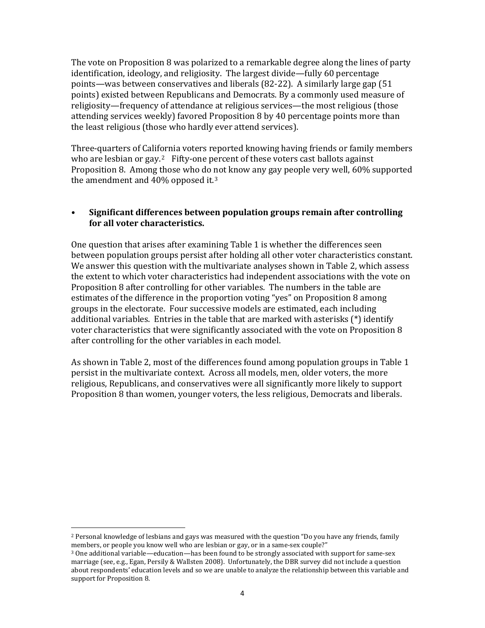The vote on Proposition 8 was polarized to a remarkable degree along the lines of party identification, ideology, and religiosity. The largest divide—fully 60 percentage points—was between conservatives and liberals (82‐22). A similarly large gap (51 points) existed between Republicans and Democrats. By a commonly used measure of religiosity—frequency of attendance at religious services—the most religious (those attending services weekly) favored Proposition 8 by 40 percentage points more than the least religious (those who hardly ever attend services).

Three‐quarters of California voters reported knowing having friends or family members who are lesbian or gay.<sup>2</sup> Fifty-one percent of these voters cast ballots against Proposition 8. Among those who do not know any gay people very well, 60% supported the amendment and  $40\%$  opposed it.<sup>3</sup>

#### **• Significant differences between population groups remain after controlling for all voter characteristics.**

One question that arises after examining Table 1 is whether the differences seen between population groups persist after holding all other voter characteristics constant. We answer this question with the multivariate analyses shown in Table 2, which assess the extent to which voter characteristics had independent associations with the vote on Proposition 8 after controlling for other variables. The numbers in the table are estimates of the difference in the proportion voting "yes" on Proposition 8 among groups in the electorate. Four successive models are estimated, each including additional variables. Entries in the table that are marked with asterisks (\*) identify voter characteristics that were significantly associated with the vote on Proposition 8 after controlling for the other variables in each model.

As shown in Table 2, most of the differences found among population groups in Table 1 persist in the multivariate context. Across all models, men, older voters, the more religious, Republicans, and conservatives were all significantly more likely to support Proposition 8 than women, younger voters, the less religious, Democrats and liberals.

 $\overline{a}$ 2 Personal knowledge of lesbians and gays was measured with the question "Do you have any friends, family members, or people you know well who are lesbian or gay, or in a same-sex couple?"

<sup>3</sup> One additional variable—education—has been found to be strongly associated with support for same‐sex marriage (see, e.g., Egan, Persily & Wallsten 2008). Unfortunately, the DBR survey did not include a question about respondents' education levels and so we are unable to analyze the relationship between this variable and support for Proposition 8.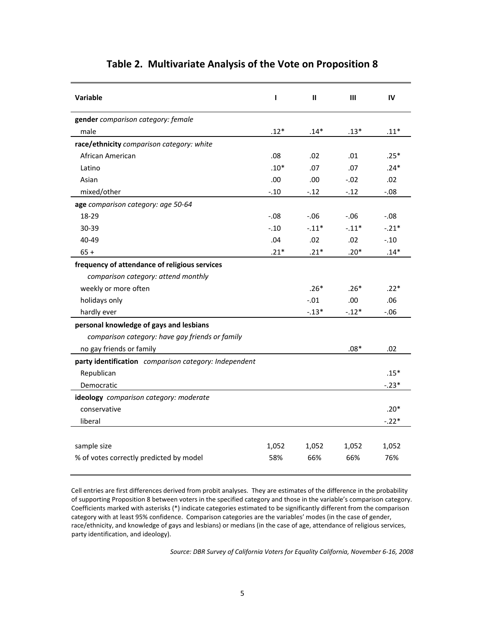| <b>Variable</b>                                                                                                                                                                                                                                                                                                                                                                                                                                                                                                                                                                                                                                                                                                                                                                                                                                                              | T      | $\mathbf{I}$ | $\mathbf{III}$ | IV     |
|------------------------------------------------------------------------------------------------------------------------------------------------------------------------------------------------------------------------------------------------------------------------------------------------------------------------------------------------------------------------------------------------------------------------------------------------------------------------------------------------------------------------------------------------------------------------------------------------------------------------------------------------------------------------------------------------------------------------------------------------------------------------------------------------------------------------------------------------------------------------------|--------|--------------|----------------|--------|
| gender comparison category: female                                                                                                                                                                                                                                                                                                                                                                                                                                                                                                                                                                                                                                                                                                                                                                                                                                           |        |              |                |        |
| male                                                                                                                                                                                                                                                                                                                                                                                                                                                                                                                                                                                                                                                                                                                                                                                                                                                                         | $.12*$ | $.14*$       | $.13*$         | $.11*$ |
| race/ethnicity comparison category: white                                                                                                                                                                                                                                                                                                                                                                                                                                                                                                                                                                                                                                                                                                                                                                                                                                    |        |              |                |        |
| African American                                                                                                                                                                                                                                                                                                                                                                                                                                                                                                                                                                                                                                                                                                                                                                                                                                                             | .08    | .02          | .01            | $.25*$ |
| Latino                                                                                                                                                                                                                                                                                                                                                                                                                                                                                                                                                                                                                                                                                                                                                                                                                                                                       | $.10*$ | .07          | .07            | $.24*$ |
| Asian                                                                                                                                                                                                                                                                                                                                                                                                                                                                                                                                                                                                                                                                                                                                                                                                                                                                        | .00.   | .00.         | $-.02$         | .02    |
| mixed/other                                                                                                                                                                                                                                                                                                                                                                                                                                                                                                                                                                                                                                                                                                                                                                                                                                                                  | $-.10$ | $-12$        | $-.12$         | $-.08$ |
| age comparison category: age 50-64<br>18-29<br>$-0.08$<br>$-0.06$<br>$-0.06$<br>$-0.08$<br>$-.11*$<br>$-.11*$<br>$-.21*$<br>30-39<br>$-.10$<br>40-49<br>.04<br>.02<br>.02<br>$-.10$<br>$.21*$<br>$.21*$<br>$.20*$<br>$.14*$<br>$65+$<br>frequency of attendance of religious services<br>comparison category: attend monthly<br>$.26*$<br>$.26*$<br>$.22*$<br>weekly or more often<br>holidays only<br>$-.01$<br>.00<br>.06<br>$-.13*$<br>$-.12*$<br>hardly ever<br>$-.06$<br>personal knowledge of gays and lesbians<br>comparison category: have gay friends or family<br>no gay friends or family<br>$.08*$<br>.02<br>party identification comparison category: Independent<br>$.15*$<br>Republican<br>$-.23*$<br>Democratic<br>ideology comparison category: moderate<br>conservative<br>$.20*$<br>$-.22*$<br>liberal<br>sample size<br>1,052<br>1,052<br>1,052<br>1,052 |        |              |                |        |
|                                                                                                                                                                                                                                                                                                                                                                                                                                                                                                                                                                                                                                                                                                                                                                                                                                                                              |        |              |                |        |
|                                                                                                                                                                                                                                                                                                                                                                                                                                                                                                                                                                                                                                                                                                                                                                                                                                                                              |        |              |                |        |
|                                                                                                                                                                                                                                                                                                                                                                                                                                                                                                                                                                                                                                                                                                                                                                                                                                                                              |        |              |                |        |
|                                                                                                                                                                                                                                                                                                                                                                                                                                                                                                                                                                                                                                                                                                                                                                                                                                                                              |        |              |                |        |
|                                                                                                                                                                                                                                                                                                                                                                                                                                                                                                                                                                                                                                                                                                                                                                                                                                                                              |        |              |                |        |
|                                                                                                                                                                                                                                                                                                                                                                                                                                                                                                                                                                                                                                                                                                                                                                                                                                                                              |        |              |                |        |
|                                                                                                                                                                                                                                                                                                                                                                                                                                                                                                                                                                                                                                                                                                                                                                                                                                                                              |        |              |                |        |
|                                                                                                                                                                                                                                                                                                                                                                                                                                                                                                                                                                                                                                                                                                                                                                                                                                                                              |        |              |                |        |
|                                                                                                                                                                                                                                                                                                                                                                                                                                                                                                                                                                                                                                                                                                                                                                                                                                                                              |        |              |                |        |
|                                                                                                                                                                                                                                                                                                                                                                                                                                                                                                                                                                                                                                                                                                                                                                                                                                                                              |        |              |                |        |
|                                                                                                                                                                                                                                                                                                                                                                                                                                                                                                                                                                                                                                                                                                                                                                                                                                                                              |        |              |                |        |
|                                                                                                                                                                                                                                                                                                                                                                                                                                                                                                                                                                                                                                                                                                                                                                                                                                                                              |        |              |                |        |
|                                                                                                                                                                                                                                                                                                                                                                                                                                                                                                                                                                                                                                                                                                                                                                                                                                                                              |        |              |                |        |
|                                                                                                                                                                                                                                                                                                                                                                                                                                                                                                                                                                                                                                                                                                                                                                                                                                                                              |        |              |                |        |
|                                                                                                                                                                                                                                                                                                                                                                                                                                                                                                                                                                                                                                                                                                                                                                                                                                                                              |        |              |                |        |
|                                                                                                                                                                                                                                                                                                                                                                                                                                                                                                                                                                                                                                                                                                                                                                                                                                                                              |        |              |                |        |
|                                                                                                                                                                                                                                                                                                                                                                                                                                                                                                                                                                                                                                                                                                                                                                                                                                                                              |        |              |                |        |
|                                                                                                                                                                                                                                                                                                                                                                                                                                                                                                                                                                                                                                                                                                                                                                                                                                                                              |        |              |                |        |
|                                                                                                                                                                                                                                                                                                                                                                                                                                                                                                                                                                                                                                                                                                                                                                                                                                                                              |        |              |                |        |
|                                                                                                                                                                                                                                                                                                                                                                                                                                                                                                                                                                                                                                                                                                                                                                                                                                                                              |        |              |                |        |
| % of votes correctly predicted by model                                                                                                                                                                                                                                                                                                                                                                                                                                                                                                                                                                                                                                                                                                                                                                                                                                      | 58%    | 66%          | 66%            | 76%    |
|                                                                                                                                                                                                                                                                                                                                                                                                                                                                                                                                                                                                                                                                                                                                                                                                                                                                              |        |              |                |        |

### **Table 2. Multivariate Analysis of the Vote on Proposition 8**

Cell entries are first differences derived from probit analyses. They are estimates of the difference in the probability of supporting Proposition 8 between voters in the specified category and those in the variable's comparison category. Coefficients marked with asterisks (\*) indicate categories estimated to be significantly different from the comparison category with at least 95% confidence. Comparison categories are the variables' modes (in the case of gender, race/ethnicity, and knowledge of gays and lesbians) or medians (in the case of age, attendance of religious services, party identification, and ideology).

*Source: DBR Survey of California Voters for Equality California, November 6‐16, 2008*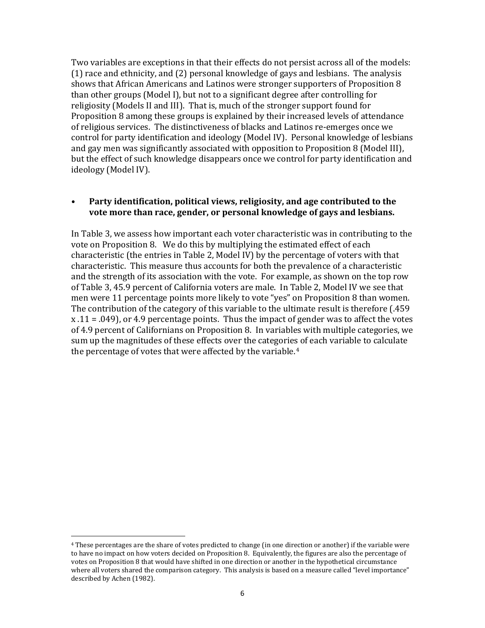Two variables are exceptions in that their effects do not persist across all of the models: (1) race and ethnicity, and (2) personal knowledge of gays and lesbians. The analysis shows that African Americans and Latinos were stronger supporters of Proposition 8 than other groups (Model I), but not to a significant degree after controlling for religiosity (Models II and III). That is, much of the stronger support found for Proposition 8 among these groups is explained by their increased levels of attendance of religious services. The distinctiveness of blacks and Latinos re‐emerges once we control for party identification and ideology (Model IV). Personal knowledge of lesbians and gay men was significantly associated with opposition to Proposition 8 (Model III), but the effect of such knowledge disappears once we control for party identification and ideology (Model IV).

#### **• Party identification, political views, religiosity, and age contributed to the vote more than race, gender, or personal knowledge of gays and lesbians.**

In Table 3, we assess how important each voter characteristic was in contributing to the vote on Proposition 8. We do this by multiplying the estimated effect of each characteristic (the entries in Table 2, Model IV) by the percentage of voters with that characteristic. This measure thus accounts for both the prevalence of a characteristic and the strength of its association with the vote. For example, as shown on the top row of Table 3, 45.9 percent of California voters are male. In Table 2, Model IV we see that men were 11 percentage points more likely to vote "yes" on Proposition 8 than women. The contribution of the category of this variable to the ultimate result is therefore (.459  $x \cdot 11 = .049$ , or 4.9 percentage points. Thus the impact of gender was to affect the votes of 4.9 percent of Californians on Proposition 8. In variables with multiple categories, we sum up the magnitudes of these effects over the categories of each variable to calculate the percentage of votes that were affected by the variable.<sup>4</sup>

<sup>4</sup> These percentages are the share of votes predicted to change (in one direction or another) if the variable were to have no impact on how voters decided on Proposition 8. Equivalently, the figures are also the percentage of votes on Proposition 8 that would have shifted in one direction or another in the hypothetical circumstance where all voters shared the comparison category. This analysis is based on a measure called "level importance" described by Achen (1982).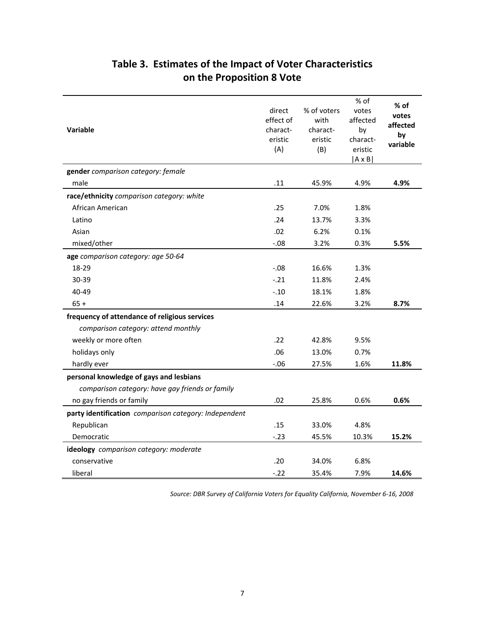| Variable                                              | direct<br>effect of<br>charact-<br>eristic<br>(A) | % of voters<br>with<br>charact-<br>eristic<br>(B) | % of<br>votes<br>affected<br>by<br>charact-<br>eristic<br>$ A \times B $ | $%$ of<br>votes<br>affected<br>by<br>variable |
|-------------------------------------------------------|---------------------------------------------------|---------------------------------------------------|--------------------------------------------------------------------------|-----------------------------------------------|
| gender comparison category: female                    |                                                   |                                                   |                                                                          |                                               |
| male                                                  | .11                                               | 45.9%                                             | 4.9%                                                                     | 4.9%                                          |
| race/ethnicity comparison category: white             |                                                   |                                                   |                                                                          |                                               |
| African American                                      | .25                                               | 7.0%                                              | 1.8%                                                                     |                                               |
| Latino                                                | .24                                               | 13.7%                                             | 3.3%                                                                     |                                               |
| Asian                                                 | .02                                               | 6.2%                                              | 0.1%                                                                     |                                               |
| mixed/other                                           | $-.08$                                            | 3.2%                                              | 0.3%                                                                     | 5.5%                                          |
| age comparison category: age 50-64                    |                                                   |                                                   |                                                                          |                                               |
| 18-29                                                 | $-0.08$                                           | 16.6%                                             | 1.3%                                                                     |                                               |
| 30-39                                                 | $-.21$                                            | 11.8%                                             | 2.4%                                                                     |                                               |
| 40-49                                                 | $-.10$                                            | 18.1%                                             | 1.8%                                                                     |                                               |
| $65 +$                                                | .14                                               | 22.6%                                             | 3.2%                                                                     | 8.7%                                          |
| frequency of attendance of religious services         |                                                   |                                                   |                                                                          |                                               |
| comparison category: attend monthly                   |                                                   |                                                   |                                                                          |                                               |
| weekly or more often                                  | .22                                               | 42.8%                                             | 9.5%                                                                     |                                               |
| holidays only                                         | .06                                               | 13.0%                                             | 0.7%                                                                     |                                               |
| hardly ever                                           | $-0.06$                                           | 27.5%                                             | 1.6%                                                                     | 11.8%                                         |
| personal knowledge of gays and lesbians               |                                                   |                                                   |                                                                          |                                               |
| comparison category: have gay friends or family       |                                                   |                                                   |                                                                          |                                               |
| no gay friends or family                              | .02                                               | 25.8%                                             | 0.6%                                                                     | 0.6%                                          |
| party identification comparison category: Independent |                                                   |                                                   |                                                                          |                                               |
| Republican                                            | .15                                               | 33.0%                                             | 4.8%                                                                     |                                               |
| Democratic                                            | $-23$                                             | 45.5%                                             | 10.3%                                                                    | 15.2%                                         |
| ideology comparison category: moderate                |                                                   |                                                   |                                                                          |                                               |
| conservative                                          | .20                                               | 34.0%                                             | 6.8%                                                                     |                                               |
| liberal                                               | $-.22$                                            | 35.4%                                             | 7.9%                                                                     | 14.6%                                         |

# **Table 3. Estimates of the Impact of Voter Characteristics on the Proposition 8 Vote**

*Source: DBR Survey of California Voters for Equality California, November 6‐16, 2008*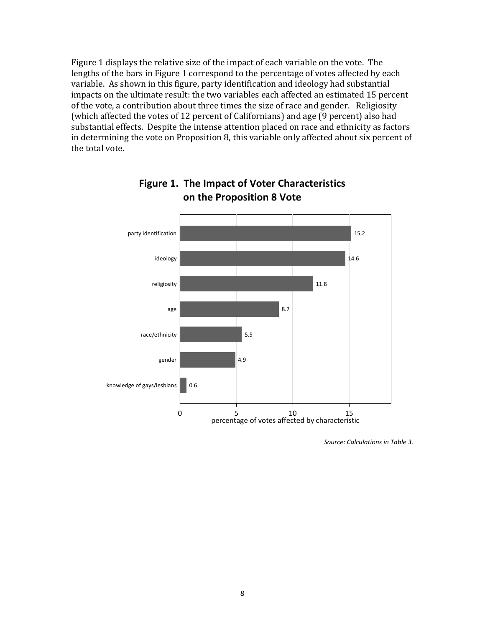Figure 1 displays the relative size of the impact of each variable on the vote. The lengths of the bars in Figure 1 correspond to the percentage of votes affected by each variable. As shown in this figure, party identification and ideology had substantial impacts on the ultimate result: the two variables each affected an estimated 15 percent of the vote, a contribution about three times the size of race and gender. Religiosity (which affected the votes of 12 percent of Californians) and age (9 percent) also had substantial effects. Despite the intense attention placed on race and ethnicity as factors in determining the vote on Proposition 8, this variable only affected about six percent of the total vote.



### **Figure 1. The Impact of Voter Characteristics on the Proposition 8 Vote**

*Source: Calculations in Table 3.*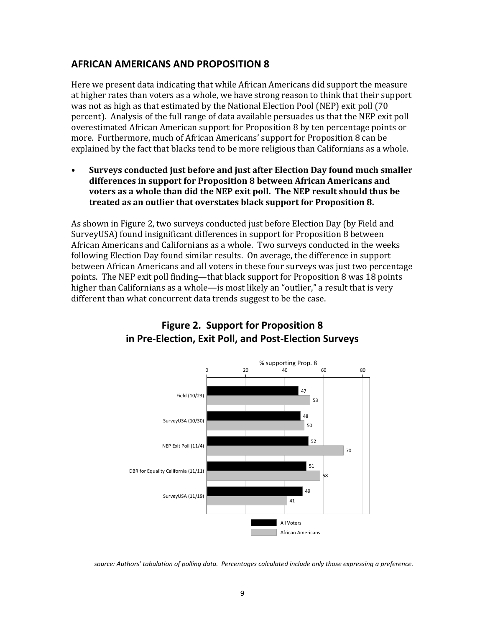### **AFRICAN AMERICANS AND PROPOSITION 8**

Here we present data indicating that while African Americans did support the measure at higher rates than voters as a whole, we have strong reason to think that their support was not as high as that estimated by the National Election Pool (NEP) exit poll (70 percent). Analysis of the full range of data available persuades us that the NEP exit poll overestimated African American support for Proposition 8 by ten percentage points or more. Furthermore, much of African Americans' support for Proposition 8 can be xplained by the fact that blacks tend to be more religious than Californians as a whole. e

**• Surveys conducted just before and just after Election Day found much smaller differences in support for Proposition 8 between African Americans and voters as a whole than did the NEP exit poll. The NEP result should thus be treated as an outlier that overstates black support for Proposition 8.**

As shown in Figure 2, two surveys conducted just before Election Day (by Field and SurveyUSA) found insignificant differences in support for Proposition 8 between African Americans and Californians as a whole. Two surveys conducted in the weeks following Election Day found similar results. On average, the difference in support between African Americans and all voters in these four surveys was just two percentage points. The NEP exit poll finding—that black support for Proposition 8 was 18 points higher than Californians as a whole—is most likely an "outlier," a result that is very different than what concurrent data trends suggest to be the case.



### **Figure 2. Support for Proposition 8 in Pre‐Election, Exit Poll, and Post‐Election Surveys**

*source: Authors' tabulation of polling data. Percentages calculated include only those expressing a preference.*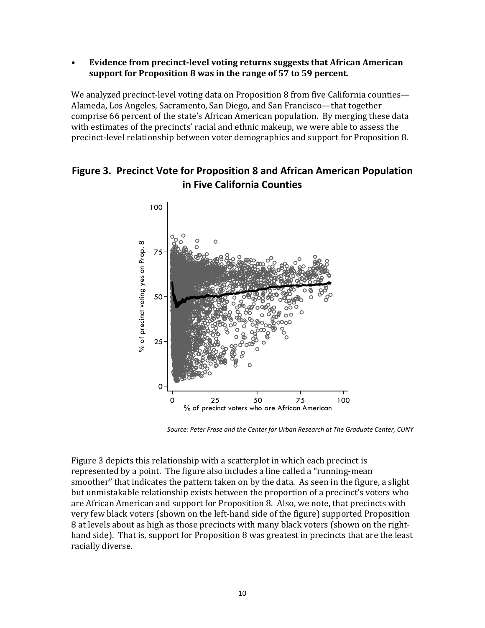**• Evidence from precinctlevel voting returns suggests that African American support for Proposition 8 was in the range of 57 to 59 percent.**

We analyzed precinct-level voting data on Proposition 8 from five California counties— Alameda, Los Angeles, Sacramento, San Diego, and San Francisco—that together comprise 66 percent of the state's African American population. By merging these data with estimates of the precincts' racial and ethnic makeup, we were able to assess the precinct-level relationship between voter demographics and support for Proposition 8.

### **Figure 3. Precinct Vote for Proposition 8 and African American Population in Five California Counties**



*Source: Peter Frase and the Center for Urban Research at The Graduate Center, CUNY* 

Figure 3 depicts this relationship with a scatterplot in which each precinct is represented by a point. The figure also includes a line called a "running‐mean smoother" that indicates the pattern taken on by the data. As seen in the figure, a slight but unmistakable relationship exists between the proportion of a precinct's voters who are African American and support for Proposition 8. Also, we note, that precincts with very few black voters (shown on the left‐hand side of the figure) supported Proposition 8 at levels about as high as those precincts with many black voters (shown on the right‐ hand side). That is, support for Proposition 8 was greatest in precincts that are the least racially diverse.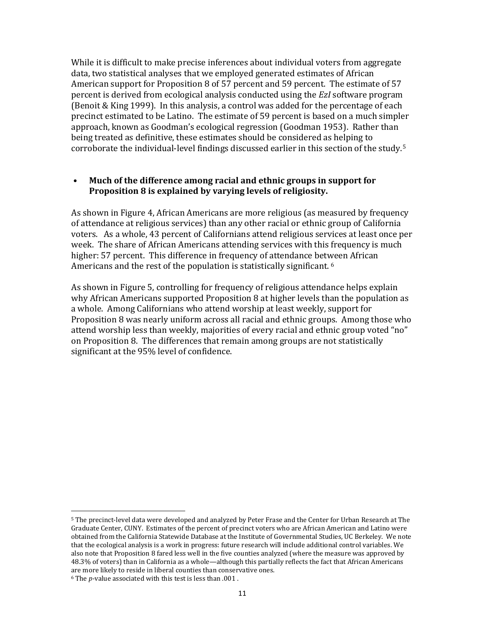While it is difficult to make precise inferences about individual voters from aggregate data, two statistical analyses that we employed generated estimates of African American support for Proposition 8 of 57 percent and 59 percent. The estimate of 57 percent is derived from ecological analysis conducted using the *EzI* software program (Benoit & King 1999). In this analysis, a control was added for the percentage of each precinct estimated to be Latino. The estimate of 59 percent is based on a much simpler approach, known as Goodman's ecological regression (Goodman 1953). Rather than being treated as definitive, these estimates should be considered as helping to corroborate the individual‐level findings discussed earlier in this section of the study.5

#### **• Much of the difference among racial and ethnic groups in support for Proposition 8 is explained by varying levels of religiosity.**

As shown in Figure 4, African Americans are more religious (as measured by frequency of attendance at religious services) than any other racial or ethnic group of California voters. As a whole, 43 percent of Californians attend religious services at least once per week. The share of African Americans attending services with this frequency is much higher: 57 percent. This difference in frequency of attendance between African Americans and the rest of the population is statistically significant. 6

As shown in Figure 5, controlling for frequency of religious attendance helps explain why African Americans supported Proposition 8 at higher levels than the population as a whole. Among Californians who attend worship at least weekly, support for Proposition 8 was nearly uniform across all racial and ethnic groups. Among those who attend worship less than weekly, majorities of every racial and ethnic group voted "no" on Proposition 8. The differences that remain among groups are not statistically significant at the 95% level of confidence.

<sup>5</sup> The precinct‐level data were developed and analyzed by Peter Frase and the Center for Urban Research at The Graduate Center, CUNY. Estimates of the percent of precinct voters who are African American and Latino were obtained from the California Statewide Database at the Institute of Governmental Studies, UC Berkeley. We note that the ecological analysis is a work in progress: future research will include additional control variables. We also note that Proposition 8 fared less well in the five counties analyzed (where the measure was approved by 48.3% of voters) than in California as a whole—although this partially reflects the fact that African Americans are more likely to reside in liberal counties than conservative ones.

<sup>&</sup>lt;sup>6</sup> The *p*-value associated with this test is less than .001.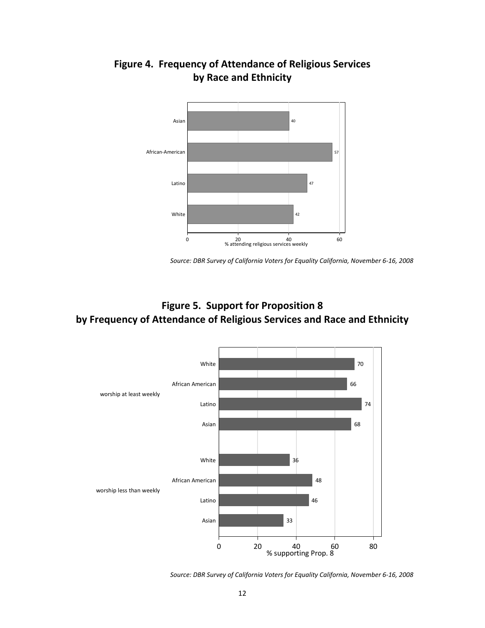

# **Figure 4. Frequency of Attendance of Religious Services by Race and Ethnicity**

## **Figure 5. Support for Proposition 8 by Frequency of Attendance of Religious Services and Race and Ethnicity**



*Source: DBR Survey of California Voters for Equality California, November 6‐16, 2008*

*Source: DBR Survey of California Voters for Equality California, November 6‐16, 2008*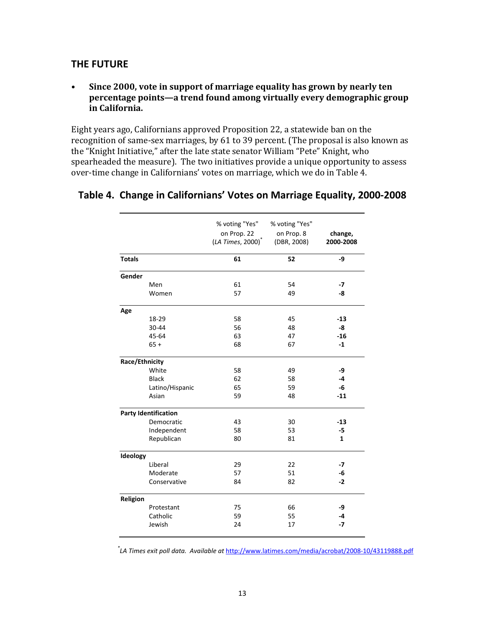### **THE FUTURE**

#### **• Since 2000, vote in support of marriage equality has grown by nearly ten percentage points—a trend found among virtually every demographic group in California.**

Eight years ago, Californians approved Proposition 22, a statewide ban on the recognition of same‐sex marriages, by 61 to 39 percent. (The proposal is also known as the "Knight Initiative," after the late state senator William "Pete" Knight, who spearheaded the measure). The two initiatives provide a unique opportunity to assess over-time change in Californians' votes on marriage, which we do in Table 4.

|                |                             | % voting "Yes"<br>on Prop. 22<br>$(LA Times, 2000)^T$ | % voting "Yes"<br>on Prop. 8<br>(DBR, 2008) | change,<br>2000-2008 |
|----------------|-----------------------------|-------------------------------------------------------|---------------------------------------------|----------------------|
| <b>Totals</b>  |                             | 61                                                    | 52                                          | -9                   |
| Gender         |                             |                                                       |                                             |                      |
|                | Men                         | 61                                                    | 54                                          | -7                   |
|                | Women                       | 57                                                    | 49                                          | -8                   |
| Age            |                             |                                                       |                                             |                      |
|                | 18-29                       | 58                                                    | 45                                          | $-13$                |
|                | 30-44                       | 56                                                    | 48                                          | -8                   |
|                | 45-64                       | 63                                                    | 47                                          | $-16$                |
|                | $65+$                       | 68                                                    | 67                                          | $-1$                 |
| Race/Ethnicity |                             |                                                       |                                             |                      |
|                | White                       | 58                                                    | 49                                          | -9                   |
|                | <b>Black</b>                | 62                                                    | 58                                          | -4                   |
|                | Latino/Hispanic             | 65                                                    | 59                                          | -6                   |
|                | Asian                       | 59                                                    | 48                                          | $-11$                |
|                | <b>Party Identification</b> |                                                       |                                             |                      |
|                | Democratic                  | 43                                                    | 30                                          | $-13$                |
|                | Independent                 | 58                                                    | 53                                          | -5                   |
|                | Republican                  | 80                                                    | 81                                          | $\mathbf{1}$         |
| Ideology       |                             |                                                       |                                             |                      |
|                | Liberal                     | 29                                                    | 22                                          | -7                   |
|                | Moderate                    | 57                                                    | 51                                          | -6                   |
|                | Conservative                | 84                                                    | 82                                          | $-2$                 |
| Religion       |                             |                                                       |                                             |                      |
|                | Protestant                  | 75                                                    | 66                                          | -9                   |
|                | Catholic                    | 59                                                    | 55                                          | $-4$                 |
|                | Jewish                      | 24                                                    | 17                                          | $-7$                 |

#### **Table 4. Change in Californians' Votes on Marriage Equality, 2000‐2008**

*\* LA Times exit poll data. Available at* http://www.latimes.com/media/acrobat/2008‐10/43119888.pdf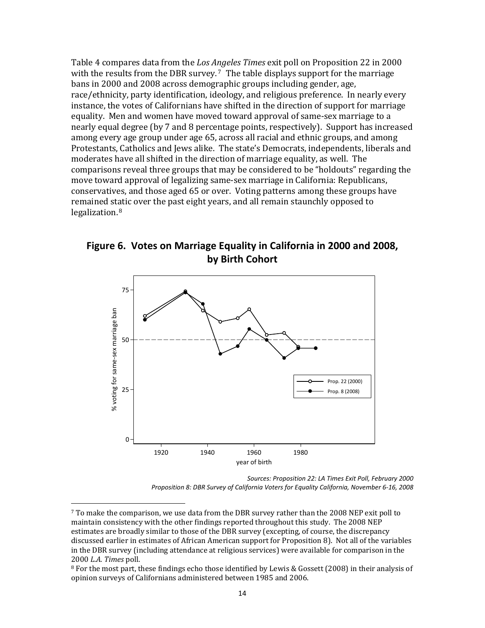Table 4 compares data from the *Los Angeles Times* exit poll on Proposition 22 in 2000 with the results from the DBR survey.<sup>7</sup> The table displays support for the marriage bans in 2000 and 2008 across demographic groups including gender, age, race/ethnicity, party identification, ideology, and religious preference. In nearly every instance, the votes of Californians have shifted in the direction of support for marriage equality. Men and women have moved toward approval of same‐sex marriage to a nearly equal degree (by 7 and 8 percentage points, respectively). Support has increased among every age group under age 65, across all racial and ethnic groups, and among Protestants, Catholics and Jews alike. The state's Democrats, independents, liberals and moderates have all shifted in the direction of marriage equality, as well. The comparisons reveal three groups that may be considered to be "holdouts" regarding the move toward approval of legalizing same‐sex marriage in California: Republicans, conservatives, and those aged 65 or over. Voting patterns among these groups have remained static over the past eight years, and all remain staunchly opposed to legalization. $8$ 

**Figure 6. Votes on Marriage Equality in California in 2000 and 2008, by Birth Cohort**



*Sources: Proposition 22: LA Times Exit Poll, February 2000 Proposition 8: DBR Survey of California Voters for Equality California, November 6‐16, 2008*

 $7$  To make the comparison, we use data from the DBR survey rather than the 2008 NEP exit poll to maintain consistency with the other findings reported throughout this study. The 2008 NEP estimates are broadly similar to those of the DBR survey (excepting, of course, the discrepancy discussed earlier in estimates of African American support for Proposition 8). Not all of the variables i n the DBR survey (including attendance at religious services) were available for comparison in the 2000 *L.A. Times* poll.

<sup>&</sup>lt;sup>8</sup> For the most part, these findings echo those identified by Lewis & Gossett (2008) in their analysis of opinion surveys of Californians administered between 1985 and 2006.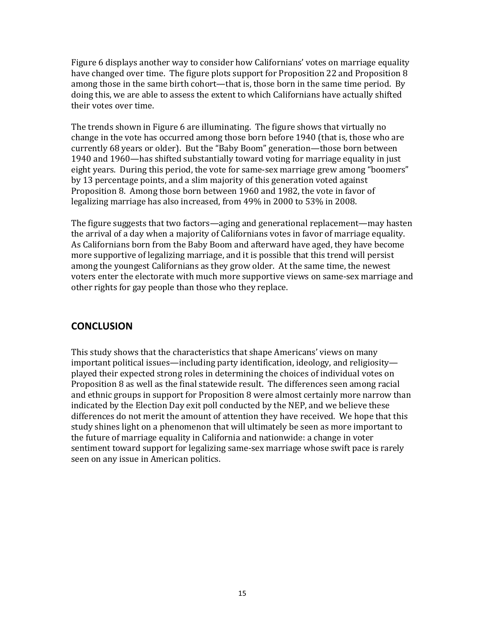Figure 6 displays another way to consider how Californians' votes on marriage equality have changed over time. The figure plots support for Proposition 22 and Proposition 8 among those in the same birth cohort—that is, those born in the same time period. By doing this, we are able to assess the extent to which Californians have actually shifted their votes over time.

The trends shown in Figure 6 are illuminating. The figure shows that virtually no change in the vote has occurred among those born before 1940 (that is, those who are currently 68 years or older). But the "Baby Boom" generation—those born between 1940 and 1960—has shifted substantially toward voting for marriage equality in just eight years. During this period, the vote for same‐sex marriage grew among "boomers" by 13 percentage points, and a slim majority of this generation voted against Proposition 8. Among those born between 1960 and 1982, the vote in favor of legalizing marriage has also increased, from 49% in 2000 to 53% in 2008.

The figure suggests that two factors—aging and generational replacement—may hasten the arrival of a day when a majority of Californians votes in favor of marriage equality. As Californians born from the Baby Boom and afterward have aged, they have become more supportive of legalizing marriage, and it is possible that this trend will persist among the youngest Californians as they grow older. At the same time, the newest voters enter the electorate with much more supportive views on same‐sex marriage and other rights for gay people than those who they replace.

### **CONCLUSION**

This study shows that the characteristics that shape Americans' views on many important political issues—including party identification, ideology, and religiosity played their expected strong roles in determining the choices of individual votes on Proposition 8 as well as the final statewide result. The differences seen among racial and ethnic groups in support for Proposition 8 were almost certainly more narrow than indicated by the Election Day exit poll conducted by the NEP, and we believe these differences do not merit the amount of attention they have received. We hope that this study shines light on a phenomenon that will ultimately be seen as more important to the future of marriage equality in California and nationwide: a change in voter sentiment toward support for legalizing same‐sex marriage whose swift pace is rarely seen on any issue in American politics.